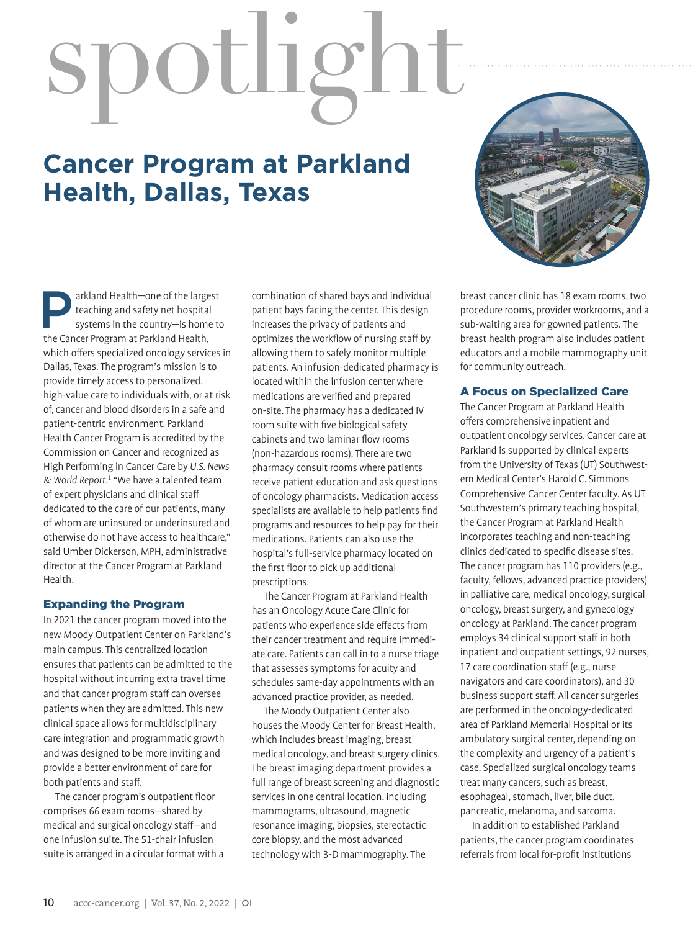# spotlight

# **Cancer Program at Parkland Health, Dallas, Texas**



**Parkland Health—one of the largest<br>
systems in the country—is home to<br>
the Cancer Program at Parkland Health** teaching and safety net hospital the Cancer Program at Parkland Health, which offers specialized oncology services in Dallas, Texas. The program's mission is to provide timely access to personalized, high-value care to individuals with, or at risk of, cancer and blood disorders in a safe and patient-centric environment. Parkland Health Cancer Program is accredited by the Commission on Cancer and recognized as High Performing in Cancer Care by *U.S. News & World Report*. 1 "We have a talented team of expert physicians and clinical staff dedicated to the care of our patients, many of whom are uninsured or underinsured and otherwise do not have access to healthcare," said Umber Dickerson, MPH, administrative director at the Cancer Program at Parkland Health.

### Expanding the Program

In 2021 the cancer program moved into the new Moody Outpatient Center on Parkland's main campus. This centralized location ensures that patients can be admitted to the hospital without incurring extra travel time and that cancer program staff can oversee patients when they are admitted. This new clinical space allows for multidisciplinary care integration and programmatic growth and was designed to be more inviting and provide a better environment of care for both patients and staff.

The cancer program's outpatient floor comprises 66 exam rooms—shared by medical and surgical oncology staff—and one infusion suite. The 51-chair infusion suite is arranged in a circular format with a combination of shared bays and individual patient bays facing the center. This design increases the privacy of patients and optimizes the workflow of nursing staff by allowing them to safely monitor multiple patients. An infusion-dedicated pharmacy is located within the infusion center where medications are verified and prepared on-site. The pharmacy has a dedicated IV room suite with five biological safety cabinets and two laminar flow rooms (non-hazardous rooms). There are two pharmacy consult rooms where patients receive patient education and ask questions of oncology pharmacists. Medication access specialists are available to help patients find programs and resources to help pay for their medications. Patients can also use the hospital's full-service pharmacy located on the first floor to pick up additional prescriptions.

The Cancer Program at Parkland Health has an Oncology Acute Care Clinic for patients who experience side effects from their cancer treatment and require immediate care. Patients can call in to a nurse triage that assesses symptoms for acuity and schedules same-day appointments with an advanced practice provider, as needed.

The Moody Outpatient Center also houses the Moody Center for Breast Health, which includes breast imaging, breast medical oncology, and breast surgery clinics. The breast imaging department provides a full range of breast screening and diagnostic services in one central location, including mammograms, ultrasound, magnetic resonance imaging, biopsies, stereotactic core biopsy, and the most advanced technology with 3-D mammography. The

breast cancer clinic has 18 exam rooms, two procedure rooms, provider workrooms, and a sub-waiting area for gowned patients. The breast health program also includes patient educators and a mobile mammography unit for community outreach.

### A Focus on Specialized Care

The Cancer Program at Parkland Health offers comprehensive inpatient and outpatient oncology services. Cancer care at Parkland is supported by clinical experts from the University of Texas (UT) Southwestern Medical Center's Harold C. Simmons Comprehensive Cancer Center faculty. As UT Southwestern's primary teaching hospital, the Cancer Program at Parkland Health incorporates teaching and non-teaching clinics dedicated to specific disease sites. The cancer program has 110 providers (e.g., faculty, fellows, advanced practice providers) in palliative care, medical oncology, surgical oncology, breast surgery, and gynecology oncology at Parkland. The cancer program employs 34 clinical support staff in both inpatient and outpatient settings, 92 nurses, 17 care coordination staff (e.g., nurse navigators and care coordinators), and 30 business support staff. All cancer surgeries are performed in the oncology-dedicated area of Parkland Memorial Hospital or its ambulatory surgical center, depending on the complexity and urgency of a patient's case. Specialized surgical oncology teams treat many cancers, such as breast, esophageal, stomach, liver, bile duct, pancreatic, melanoma, and sarcoma.

In addition to established Parkland patients, the cancer program coordinates referrals from local for-profit institutions